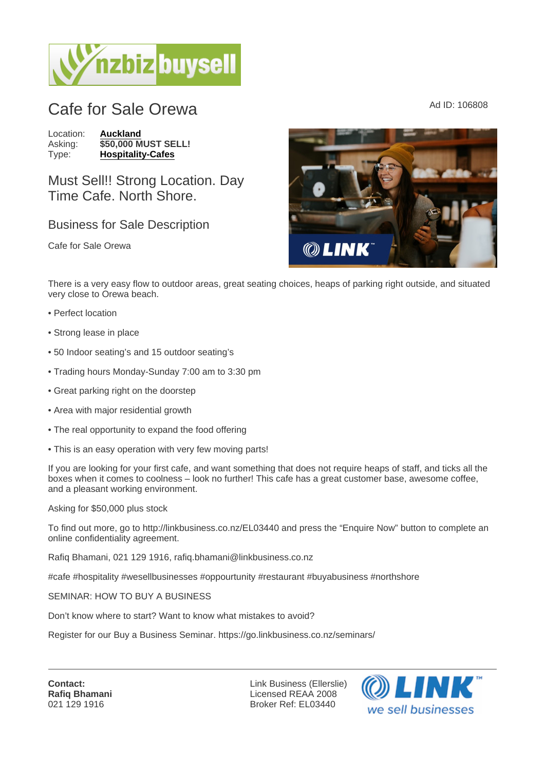## Cafe for Sale Orewa  $\overline{C}$

Location: [Auckland](https://www.nzbizbuysell.co.nz/businesses-for-sale/location/Auckland) Asking: \$50,000 MUST SELL!<br>Type: Hospitality-Cafes [Hospitality-Cafes](https://www.nzbizbuysell.co.nz/businesses-for-sale/Cafes/New-Zealand)

Must Sell!! Strong Location. Day Time Cafe. North Shore.

## Business for Sale Description

Cafe for Sale Orewa

There is a very easy flow to outdoor areas, great seating choices, heaps of parking right outside, and situated very close to Orewa beach.

- Perfect location
- Strong lease in place
- 50 Indoor seating's and 15 outdoor seating's
- Trading hours Monday-Sunday 7:00 am to 3:30 pm
- Great parking right on the doorstep
- Area with major residential growth
- The real opportunity to expand the food offering
- This is an easy operation with very few moving parts!

If you are looking for your first cafe, and want something that does not require heaps of staff, and ticks all the boxes when it comes to coolness – look no further! This cafe has a great customer base, awesome coffee, and a pleasant working environment.

Asking for \$50,000 plus stock

To find out more, go to http://linkbusiness.co.nz/EL03440 and press the "Enquire Now" button to complete an online confidentiality agreement.

Rafiq Bhamani, 021 129 1916, rafiq.bhamani@linkbusiness.co.nz

#cafe #hospitality #wesellbusinesses #oppourtunity #restaurant #buyabusiness #northshore

SEMINAR: HOW TO BUY A BUSINESS

Don't know where to start? Want to know what mistakes to avoid?

Register for our Buy a Business Seminar. https://go.linkbusiness.co.nz/seminars/

Contact: Rafiq Bhamani 021 129 1916

Link Business (Ellerslie) Licensed REAA 2008 Broker Ref: EL03440